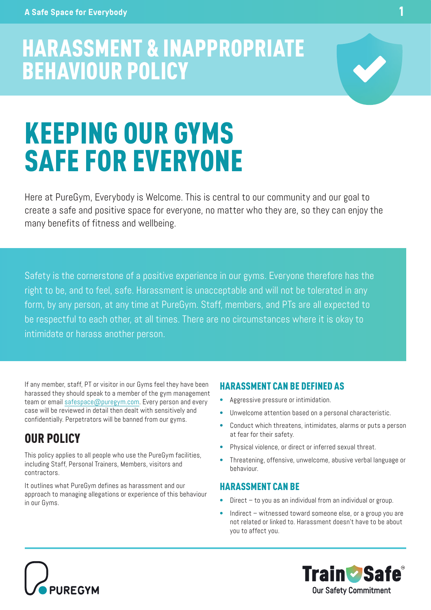# HARASSMENT & INAPPROPRIATE BEHAVIOUR POLICY



Here at PureGym, Everybody is Welcome. This is central to our community and our goal to create a safe and positive space for everyone, no matter who they are, so they can enjoy the many benefits of fitness and wellbeing.

Safety is the cornerstone of a positive experience in our gyms. Everyone therefore has the right to be, and to feel, safe. Harassment is unacceptable and will not be tolerated in any form, by any person, at any time at PureGym. Staff, members, and PTs are all expected to be respectful to each other, at all times. There are no circumstances where it is okay to intimidate or harass another person.

If any member, staff, PT or visitor in our Gyms feel they have been harassed they should speak to a member of the gym management team or email safespace@puregym.com. Every person and every case will be reviewed in detail then dealt with sensitively and confidentially. Perpetrators will be banned from our gyms.

## OUR POLICY

This policy applies to all people who use the PureGym facilities, including Staff, Personal Trainers, Members, visitors and contractors.

It outlines what PureGym defines as harassment and our approach to managing allegations or experience of this behaviour in our Gyms.

#### HARASSMENT CAN BE DEFINED AS

- Aggressive pressure or intimidation.
- Unwelcome attention based on a personal characteristic.
- Conduct which threatens, intimidates, alarms or puts a person at fear for their safety.
- Physical violence, or direct or inferred sexual threat.
- Threatening, offensive, unwelcome, abusive verbal language or behaviour.

#### HARASSMENT CAN BE

- Direct to you as an individual from an individual or group.
- Indirect witnessed toward someone else, or a group you are not related or linked to. Harassment doesn't have to be about you to affect you.





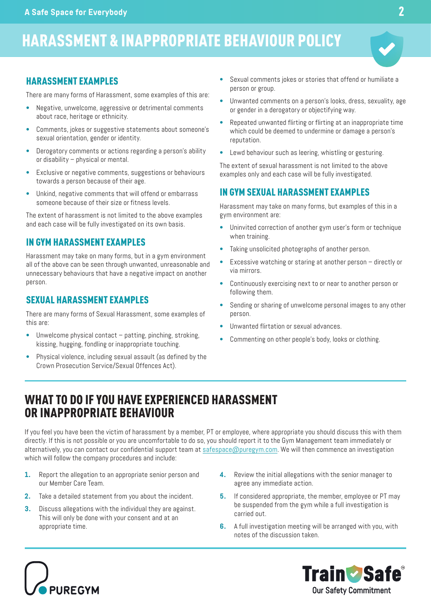# HARASSMENT & INAPPROPRIATE BEHAVIOUR POLICY

### HARASSMENT EXAMPLES

There are many forms of Harassment, some examples of this are:

- Negative, unwelcome, aggressive or detrimental comments about race, heritage or ethnicity.
- Comments, jokes or suggestive statements about someone's sexual orientation, gender or identity.
- Derogatory comments or actions regarding a person's ability or disability – physical or mental.
- Exclusive or negative comments, suggestions or behaviours towards a person because of their age.
- Unkind, negative comments that will offend or embarrass someone because of their size or fitness levels.

The extent of harassment is not limited to the above examples and each case will be fully investigated on its own basis.

#### IN GYM HARASSMENT EXAMPLES

Harassment may take on many forms, but in a gym environment all of the above can be seen through unwanted, unreasonable and unnecessary behaviours that have a negative impact on another person.

#### SEXUAL HARASSMENT EXAMPLES

There are many forms of Sexual Harassment, some examples of this are:

- Unwelcome physical contact  $-$  patting, pinching, stroking, kissing, hugging, fondling or inappropriate touching.
- Physical violence, including sexual assault (as defined by the Crown Prosecution Service/Sexual Offences Act).
- Sexual comments jokes or stories that offend or humiliate a person or group.
- Unwanted comments on a person's looks, dress, sexuality, age or gender in a derogatory or objectifying way.
- Repeated unwanted flirting or flirting at an inappropriate time which could be deemed to undermine or damage a person's reputation.
- Lewd behaviour such as leering, whistling or gesturing.

The extent of sexual harassment is not limited to the above examples only and each case will be fully investigated.

#### IN GYM SEXUAL HARASSMENT EXAMPLES

Harassment may take on many forms, but examples of this in a gym environment are:

- Uninvited correction of another gym user's form or technique when training.
- Taking unsolicited photographs of another person.
- Excessive watching or staring at another person directly or via mirrors.
- Continuously exercising next to or near to another person or following them.
- Sending or sharing of unwelcome personal images to any other person.
- Unwanted flirtation or sexual advances.
- Commenting on other people's body, looks or clothing.

## WHAT TO DO IF YOU HAVE EXPERIENCED HARASSMENT OR INAPPROPRIATE BEHAVIOUR

If you feel you have been the victim of harassment by a member, PT or employee, where appropriate you should discuss this with them directly. If this is not possible or you are uncomfortable to do so, you should report it to the Gym Management team immediately or alternatively, you can contact our confidential support team at safespace@puregym.com. We will then commence an investigation which will follow the company procedures and include:

- **1.** Report the allegation to an appropriate senior person and our Member Care Team.
- **2.** Take a detailed statement from you about the incident.
- **3.** Discuss allegations with the individual they are against. This will only be done with your consent and at an appropriate time.
- **4.** Review the initial allegations with the senior manager to agree any immediate action.
- **5.** If considered appropriate, the member, employee or PT may be suspended from the gym while a full investigation is carried out.
- **6.** A full investigation meeting will be arranged with you, with notes of the discussion taken.